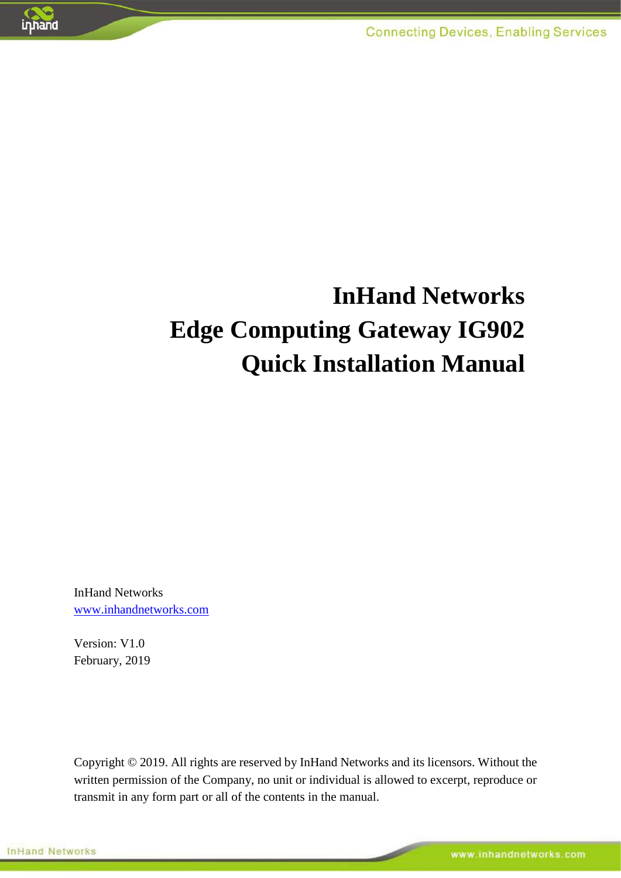

# **InHand Networks Edge Computing Gateway IG902 Quick Installation Manual**

InHand Networks [www.inhandnetworks.com](http://www.inhandnetworks.com/)

Version: V1.0 February, 2019

Copyright © 2019. All rights are reserved by InHand Networks and its licensors. Without the written permission of the Company, no unit or individual is allowed to excerpt, reproduce or transmit in any form part or all of the contents in the manual.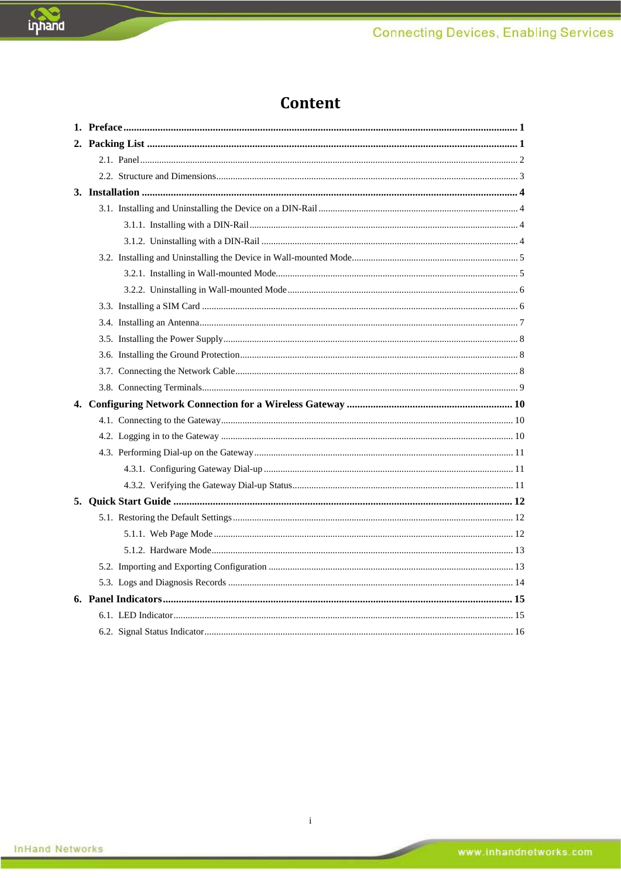### Content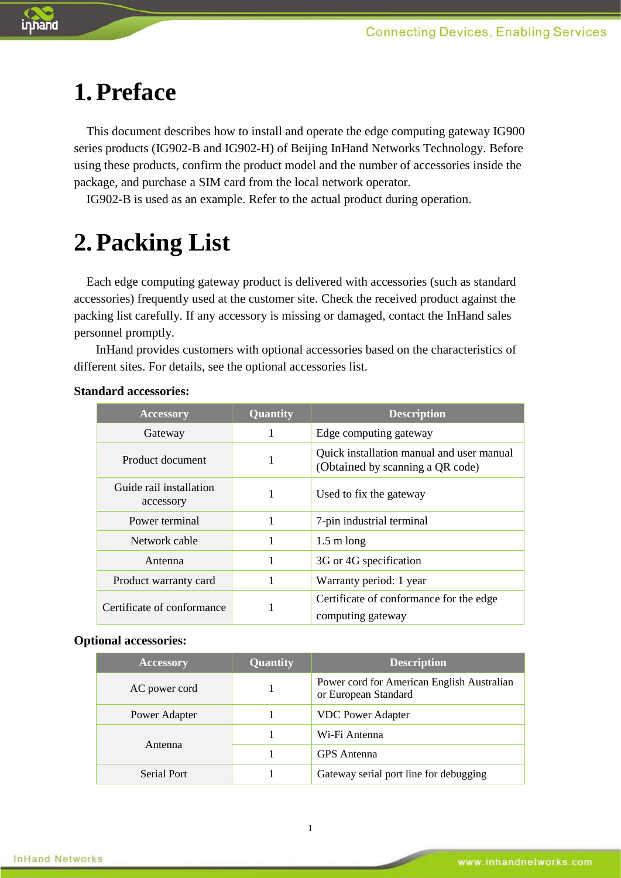

# <span id="page-2-0"></span>**1.Preface**

This document describes how to install and operate the edge computing gateway IG900 series products (IG902-B and IG902-H) of Beijing InHand Networks Technology. Before using these products, confirm the product model and the number of accessories inside the package, and purchase a SIM card from the local network operator.

IG902-B is used as an example. Refer to the actual product during operation.

# <span id="page-2-1"></span>**2.Packing List**

Each edge computing gateway product is delivered with accessories (such as standard accessories) frequently used at the customer site. Check the received product against the packing list carefully. If any accessory is missing or damaged, contact the InHand sales personnel promptly.

InHand provides customers with optional accessories based on the characteristics of different sites. For details, see the optional accessories list.

| <b>Accessory</b>                     | Quantity | <b>Description</b>                                                            |  |  |
|--------------------------------------|----------|-------------------------------------------------------------------------------|--|--|
| Gateway                              | 1        | Edge computing gateway                                                        |  |  |
| Product document                     | 1        | Quick installation manual and user manual<br>(Obtained by scanning a QR code) |  |  |
| Guide rail installation<br>accessory | 1        | Used to fix the gateway                                                       |  |  |
| Power terminal                       | 1        | 7-pin industrial terminal                                                     |  |  |
| Network cable                        | 1        | $1.5 \text{ m}$ long                                                          |  |  |
| Antenna                              | 1        | 3G or 4G specification                                                        |  |  |
| Product warranty card                |          | Warranty period: 1 year                                                       |  |  |
| Certificate of conformance           |          | Certificate of conformance for the edge<br>computing gateway                  |  |  |

#### **Standard accessories:**

#### **Optional accessories:**

| <b>Accessory</b> | <b>Quantity</b> | <b>Description</b>                                                 |  |  |
|------------------|-----------------|--------------------------------------------------------------------|--|--|
| AC power cord    |                 | Power cord for American English Australian<br>or European Standard |  |  |
| Power Adapter    |                 | <b>VDC</b> Power Adapter                                           |  |  |
|                  |                 | Wi-Fi Antenna                                                      |  |  |
| Antenna          |                 | <b>GPS</b> Antenna                                                 |  |  |
| Serial Port      |                 | Gateway serial port line for debugging                             |  |  |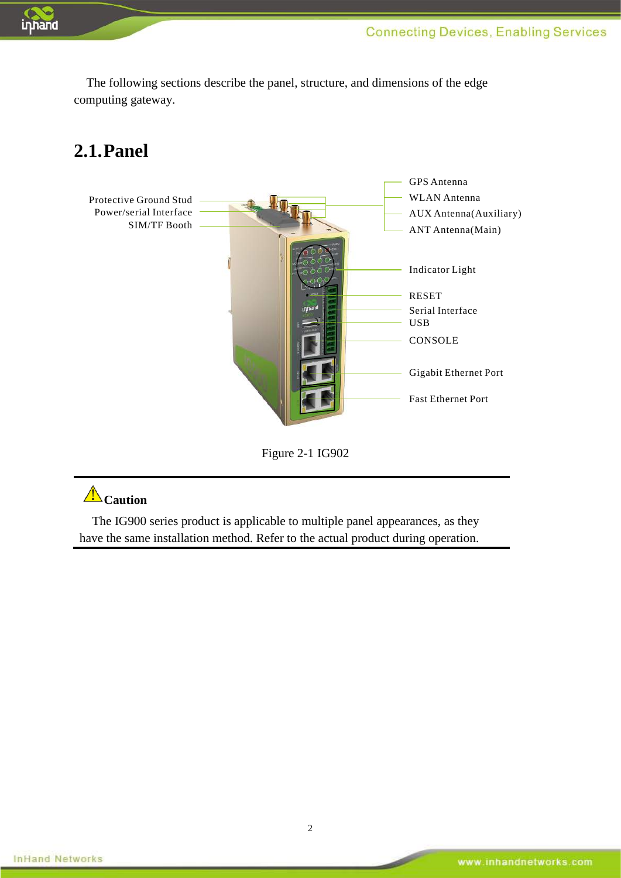

<span id="page-3-0"></span>The following sections describe the panel, structure, and dimensions of the edge computing gateway.

## **2.1.Panel**



Figure 2-1 IG902

## **Caution**

The IG900 series product is applicable to multiple panel appearances, as they have the same installation method. Refer to the actual product during operation.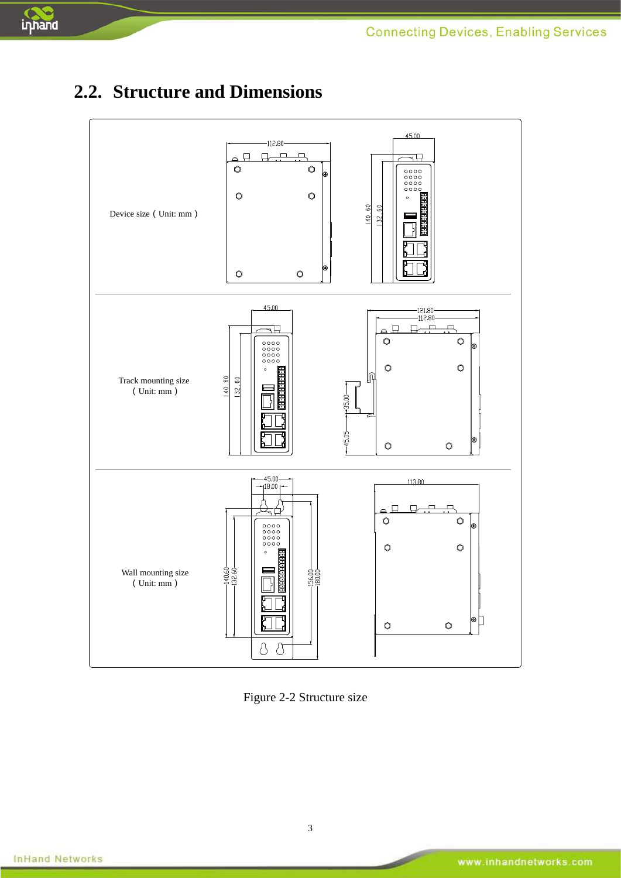

## <span id="page-4-0"></span>**2.2. Structure and Dimensions**



Figure 2-2 Structure size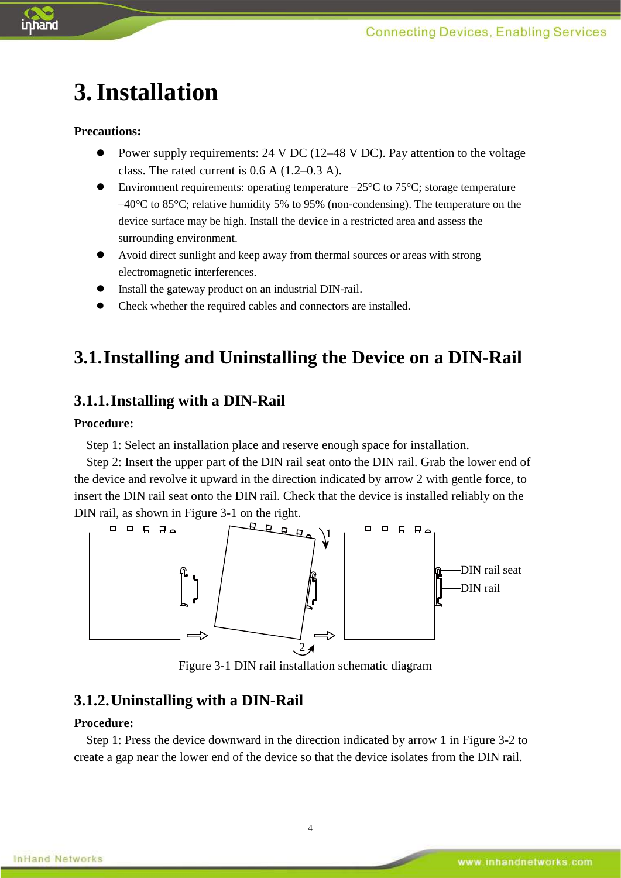

# <span id="page-5-0"></span>**3.Installation**

#### **Precautions:**

- Power supply requirements: 24 V DC (12–48 V DC). Pay attention to the voltage class. The rated current is 0.6 A (1.2–0.3 A).
- Environment requirements: operating temperature  $-25^{\circ}$ C to 75 $^{\circ}$ C; storage temperature  $-40^{\circ}$ C to 85<sup>°</sup>C; relative humidity 5% to 95% (non-condensing). The temperature on the device surface may be high. Install the device in a restricted area and assess the surrounding environment.
- Avoid direct sunlight and keep away from thermal sources or areas with strong electromagnetic interferences.
- Install the gateway product on an industrial DIN-rail.
- <span id="page-5-1"></span>Check whether the required cables and connectors are installed.

## **3.1.Installing and Uninstalling the Device on a DIN-Rail**

#### <span id="page-5-2"></span>**3.1.1.Installing with a DIN-Rail**

#### **Procedure:**

Step 1: Select an installation place and reserve enough space for installation.

Step 2: Insert the upper part of the DIN rail seat onto the DIN rail. Grab the lower end of the device and revolve it upward in the direction indicated by arrow 2 with gentle force, to insert the DIN rail seat onto the DIN rail. Check that the device is installed reliably on the DIN rail, as shown in Figure 3-1 on the right.



Figure 3-1 DIN rail installation schematic diagram

#### <span id="page-5-3"></span>**3.1.2.Uninstalling with a DIN-Rail**

#### **Procedure:**

Step 1: Press the device downward in the direction indicated by arrow 1 in Figure 3-2 to create a gap near the lower end of the device so that the device isolates from the DIN rail.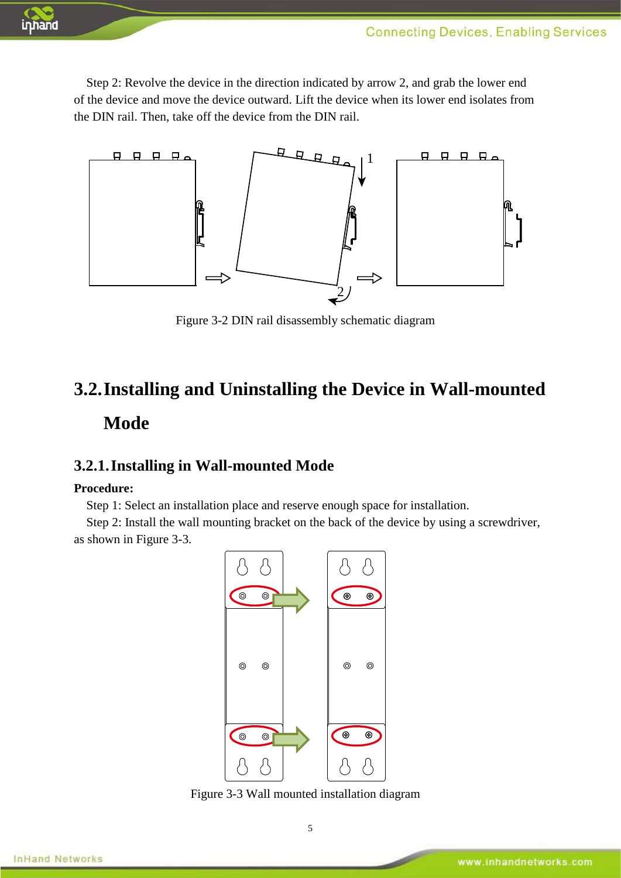

Step 2: Revolve the device in the direction indicated by arrow 2, and grab the lower end of the device and move the device outward. Lift the device when its lower end isolates from the DIN rail. Then, take off the device from the DIN rail.



Figure 3-2 DIN rail disassembly schematic diagram

## <span id="page-6-0"></span>**3.2.Installing and Uninstalling the Device in Wall-mounted Mode**

#### <span id="page-6-1"></span>**3.2.1.Installing in Wall-mounted Mode**

#### **Procedure:**

Step 1: Select an installation place and reserve enough space for installation.

Step 2: Install the wall mounting bracket on the back of the device by using a screwdriver, as shown in Figure 3-3.



Figure 3-3 Wall mounted installation diagram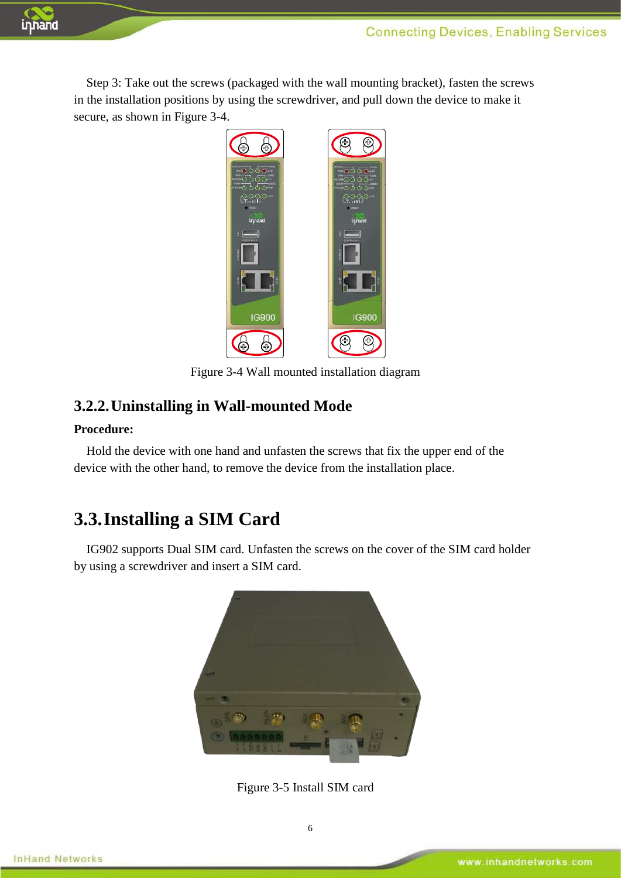Step 3: Take out the screws (packaged with the wall mounting bracket), fasten the screws in the installation positions by using the screwdriver, and pull down the device to make it secure, as shown in Figure 3-4.



Figure 3-4 Wall mounted installation diagram

#### <span id="page-7-0"></span>**3.2.2.Uninstalling in Wall-mounted Mode**

#### **Procedure:**

inhand

<span id="page-7-1"></span>Hold the device with one hand and unfasten the screws that fix the upper end of the device with the other hand, to remove the device from the installation place.

#### **3.3.Installing a SIM Card**

IG902 supports Dual SIM card. Unfasten the screws on the cover of the SIM card holder by using a screwdriver and insert a SIM card.



Figure 3-5 Install SIM card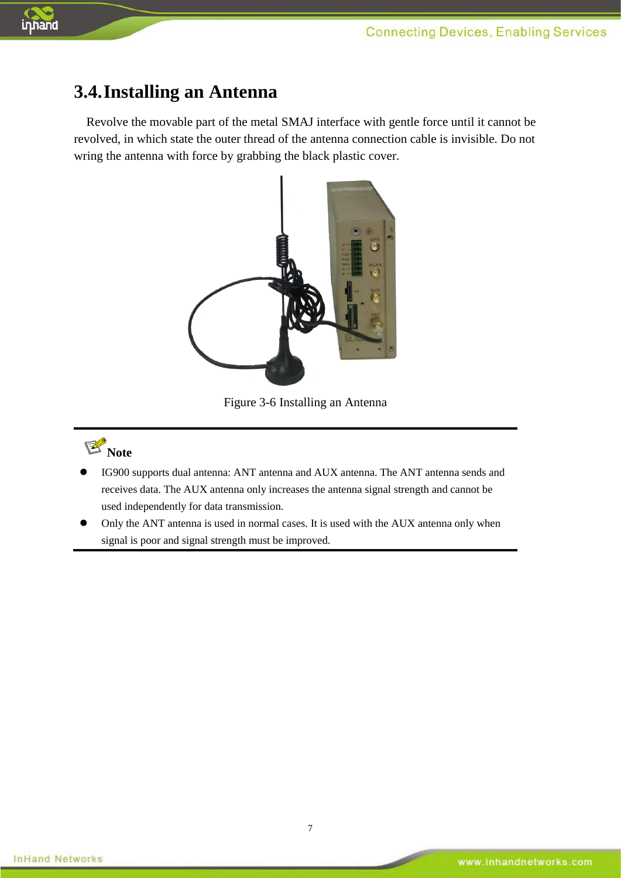<span id="page-8-0"></span>

inhand

Revolve the movable part of the metal SMAJ interface with gentle force until it cannot be revolved, in which state the outer thread of the antenna connection cable is invisible. Do not wring the antenna with force by grabbing the black plastic cover.



Figure 3-6 Installing an Antenna



- IG900 supports dual antenna: ANT antenna and AUX antenna. The ANT antenna sends and receives data. The AUX antenna only increases the antenna signal strength and cannot be used independently for data transmission.
- Only the ANT antenna is used in normal cases. It is used with the AUX antenna only when signal is poor and signal strength must be improved.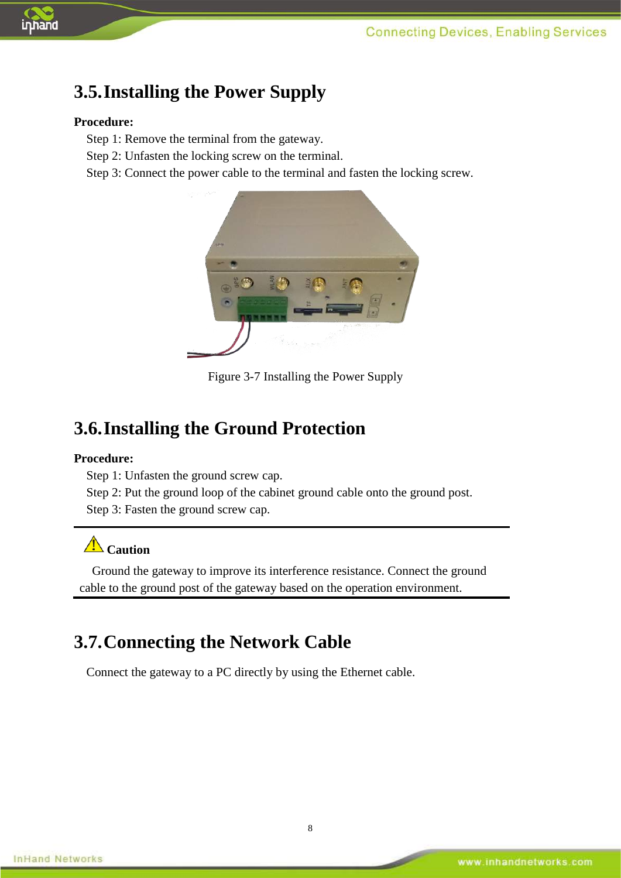

## <span id="page-9-0"></span>**3.5.Installing the Power Supply**

#### **Procedure:**

Step 1: Remove the terminal from the gateway.

Step 2: Unfasten the locking screw on the terminal.

Step 3: Connect the power cable to the terminal and fasten the locking screw.



Figure 3-7 Installing the Power Supply

#### <span id="page-9-1"></span>**3.6.Installing the Ground Protection**

#### **Procedure:**

Step 1: Unfasten the ground screw cap.

Step 2: Put the ground loop of the cabinet ground cable onto the ground post.

Step 3: Fasten the ground screw cap.

## **Caution**

<span id="page-9-2"></span>Ground the gateway to improve its interference resistance. Connect the ground cable to the ground post of the gateway based on the operation environment.

## **3.7.Connecting the Network Cable**

Connect the gateway to a PC directly by using the Ethernet cable.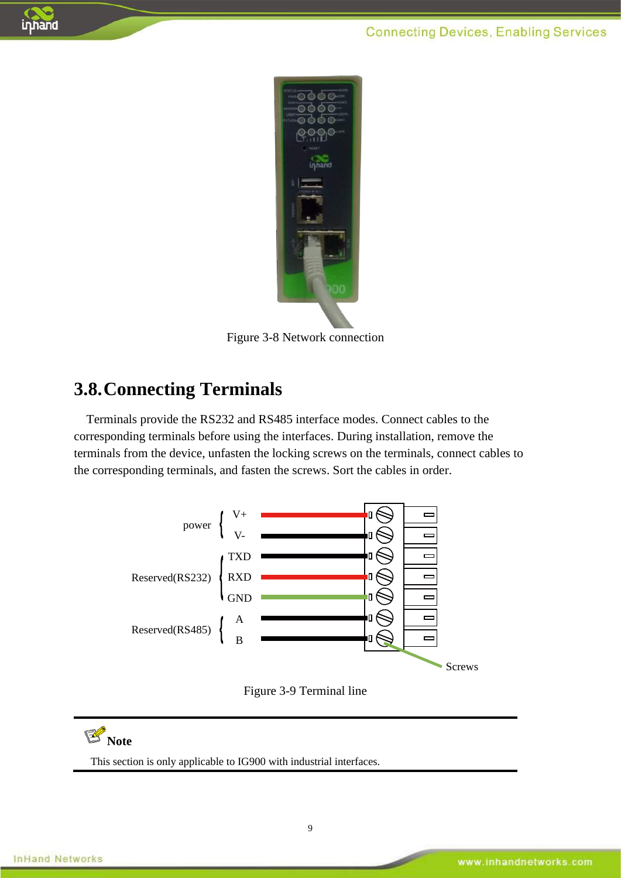

Figure 3-8 Network connection

### <span id="page-10-0"></span>**3.8.Connecting Terminals**

Terminals provide the RS232 and RS485 interface modes. Connect cables to the corresponding terminals before using the interfaces. During installation, remove the terminals from the device, unfasten the locking screws on the terminals, connect cables to the corresponding terminals, and fasten the screws. Sort the cables in order.



Figure 3-9 Terminal line

# **Note**

This section is only applicable to IG900 with industrial interfaces.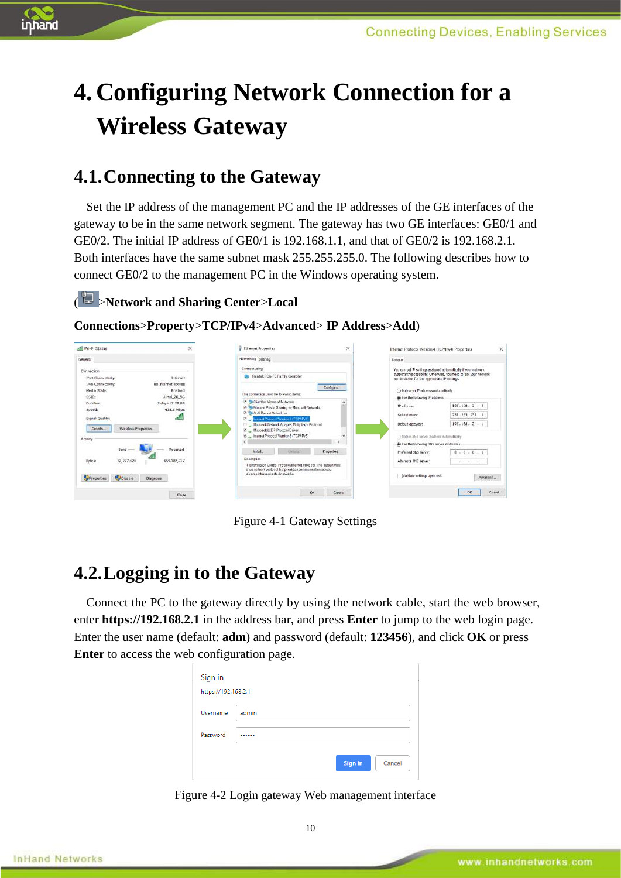

# <span id="page-11-0"></span>**4.Configuring Network Connection for a Wireless Gateway**

### <span id="page-11-1"></span>**4.1.Connecting to the Gateway**

Set the IP address of the management PC and the IP addresses of the GE interfaces of the gateway to be in the same network segment. The gateway has two GE interfaces: GE0/1 and GE0/2. The initial IP address of GE0/1 is 192.168.1.1, and that of GE0/2 is 192.168.2.1. Both interfaces have the same subnet mask 255.255.255.0. The following describes how to connect GE0/2 to the management PC in the Windows operating system.

#### ( >**Network and Sharing Center**>**Local**

#### **Connections**>**Property**>**TCP/IPv4**>**Advanced**> **IP Address**>**Add**)



Figure 4-1 Gateway Settings

### <span id="page-11-2"></span>**4.2.Logging in to the Gateway**

Connect the PC to the gateway directly by using the network cable, start the web browser, enter **https://192.168.2.1** in the address bar, and press **Enter** to jump to the web login page. Enter the user name (default: **adm**) and password (default: **123456**), and click **OK** or press **Enter** to access the web configuration page.

| Sign in<br>https://192.168.2.1 |                   |
|--------------------------------|-------------------|
| Username                       | admin             |
| Password                       |                   |
|                                | Cancel<br>Sign in |

Figure 4-2 Login gateway Web management interface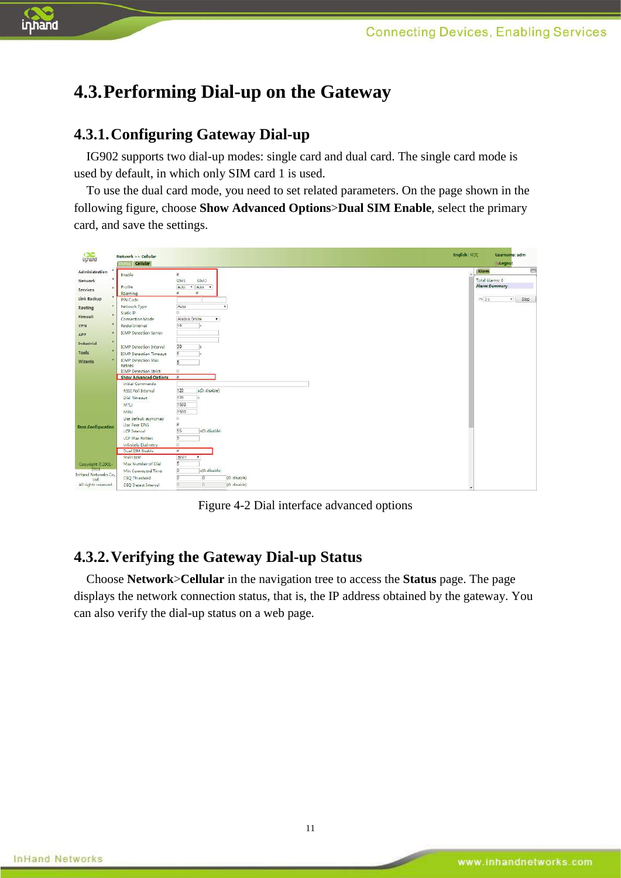

## <span id="page-12-0"></span>**4.3.Performing Dial-up on the Gateway**

#### <span id="page-12-1"></span>**4.3.1.Configuring Gateway Dial-up**

IG902 supports two dial-up modes: single card and dual card. The single card mode is used by default, in which only SIM card 1 is used.

To use the dual card mode, you need to set related parameters. On the page shown in the following figure, choose **Show Advanced Options**>**Dual SIM Enable**, select the primary card, and save the settings.



Figure 4-2 Dial interface advanced options

#### <span id="page-12-2"></span>**4.3.2.Verifying the Gateway Dial-up Status**

Choose **Network**>**Cellular** in the navigation tree to access the **Status** page. The page displays the network connection status, that is, the IP address obtained by the gateway. You can also verify the dial-up status on a web page.

11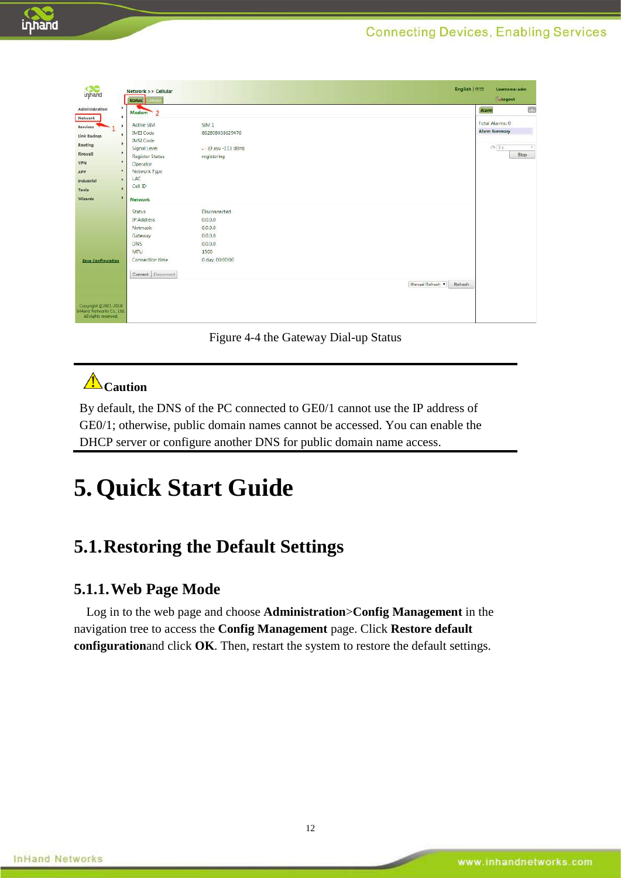| inhand                                                                    | Network >> Cellular<br><b>Status</b> |                     |  |                | English   中文 | <b>Username:</b> adm<br>Logout |               |
|---------------------------------------------------------------------------|--------------------------------------|---------------------|--|----------------|--------------|--------------------------------|---------------|
| ٠<br>Administration                                                       | $\overline{2}$<br>Modem              |                     |  |                |              | Alarm                          | <b>PERSON</b> |
| ×<br>Network                                                              |                                      |                     |  |                |              | Total Alarms: 0                |               |
| Services                                                                  | Active 5IM                           | SIM <sub>1</sub>    |  |                |              | <b>Alarm Summary</b>           |               |
| ٠<br>Link Backup                                                          | <b>IMEI Code</b>                     | 862808038629476     |  |                |              |                                |               |
| Routing                                                                   | <b>IMSI</b> Code<br>Signal Level     | $(0$ asu -113 dBm)  |  |                |              | $N = 36$                       |               |
| ٠<br>Firewall                                                             | Register Status                      | registering         |  |                |              |                                | Stop          |
| ٠<br>VPN                                                                  | Operator                             |                     |  |                |              |                                |               |
| ٠<br>APP                                                                  | Network Type                         |                     |  |                |              |                                |               |
| ×<br>Industrial                                                           | LAC                                  |                     |  |                |              |                                |               |
|                                                                           | Cell ID                              |                     |  |                |              |                                |               |
| Tools                                                                     |                                      |                     |  |                |              |                                |               |
| Wizards                                                                   | <b>Network</b>                       |                     |  |                |              |                                |               |
|                                                                           | Status                               | <b>Disconnected</b> |  |                |              |                                |               |
|                                                                           | IP Address                           | 0.0.0.0             |  |                |              |                                |               |
|                                                                           | Netmask                              | 0.0.0.0             |  |                |              |                                |               |
|                                                                           | Gateway                              | 0.0.0.0             |  |                |              |                                |               |
|                                                                           | DNS                                  | 0.0.0.0.            |  |                |              |                                |               |
|                                                                           | MTU                                  | 1500                |  |                |              |                                |               |
| <b>Save Configuration</b>                                                 | Connection time                      | 0 day, 00:00:00     |  |                |              |                                |               |
|                                                                           |                                      |                     |  |                |              |                                |               |
|                                                                           | Connect Disconnect                   |                     |  |                |              |                                |               |
|                                                                           |                                      |                     |  | Manual Refresh | Refresh      |                                |               |
|                                                                           |                                      |                     |  |                |              |                                |               |
| Copyright @2001-2018<br>InHand Networks Co., Ltd.<br>All rights reserved. |                                      |                     |  |                |              |                                |               |

Figure 4-4 the Gateway Dial-up Status

## **Caution**

By default, the DNS of the PC connected to GE0/1 cannot use the IP address of GE0/1; otherwise, public domain names cannot be accessed. You can enable the DHCP server or configure another DNS for public domain name access.

# <span id="page-13-1"></span><span id="page-13-0"></span>**5.Quick Start Guide**

## **5.1.Restoring the Default Settings**

#### <span id="page-13-2"></span>**5.1.1.Web Page Mode**

Log in to the web page and choose **Administration**>**Config Management** in the navigation tree to access the **Config Management** page. Click **Restore default configuration**and click **OK**. Then, restart the system to restore the default settings.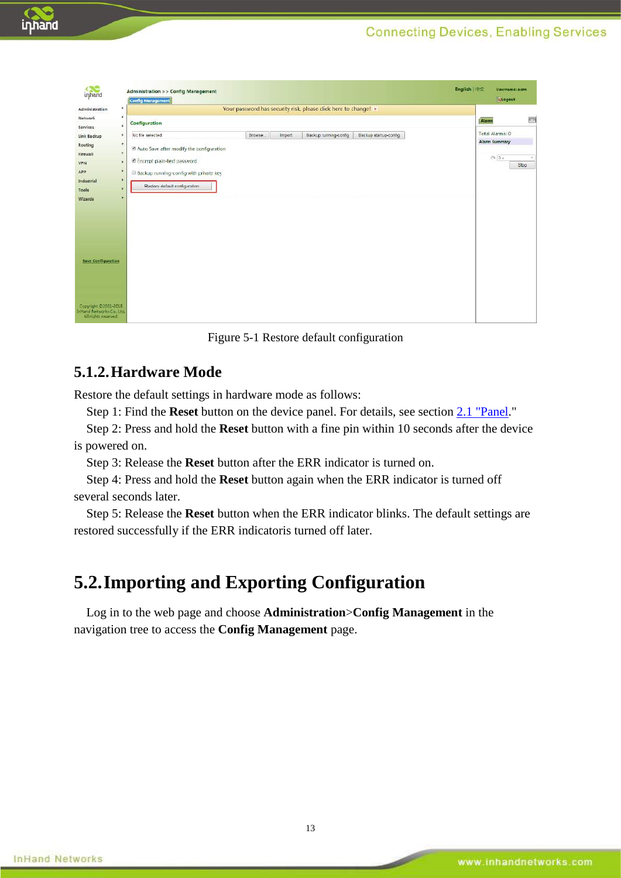

|                           | <b>Config Management</b>                      |         |        |                                                                 |                       | Logout               |          |
|---------------------------|-----------------------------------------------|---------|--------|-----------------------------------------------------------------|-----------------------|----------------------|----------|
| Administration            | ×                                             |         |        | Your password has security risk, please click here to change! * |                       |                      |          |
| Network                   | ×<br>Configuration                            |         |        |                                                                 |                       | Alarm                | $\equiv$ |
| Services                  | $\mathbf{y}$                                  |         |        |                                                                 |                       |                      |          |
| Link Backup               | No file selected.<br>×                        | Browse. | Import | Backup running-config                                           | Backup startup-config | Total Alarms: 0      |          |
| Routing                   | 医<br>Auto Save after modify the configuration |         |        |                                                                 |                       | <b>Alarm Summary</b> |          |
| Firewall                  | ×                                             |         |        |                                                                 |                       | 19.35                | $\psi$   |
| <b>VPN</b>                | Encrypt plain-text password<br>×              |         |        |                                                                 |                       |                      | Stop     |
| ٠<br>APP                  | Backup running-config with private key        |         |        |                                                                 |                       |                      |          |
| Industrial                | ٠                                             |         |        |                                                                 |                       |                      |          |
| Tools                     | Restore default configuration:                |         |        |                                                                 |                       |                      |          |
| Wizards                   |                                               |         |        |                                                                 |                       |                      |          |
|                           |                                               |         |        |                                                                 |                       |                      |          |
|                           |                                               |         |        |                                                                 |                       |                      |          |
|                           |                                               |         |        |                                                                 |                       |                      |          |
|                           |                                               |         |        |                                                                 |                       |                      |          |
|                           |                                               |         |        |                                                                 |                       |                      |          |
|                           |                                               |         |        |                                                                 |                       |                      |          |
| <b>Save Configuration</b> |                                               |         |        |                                                                 |                       |                      |          |
|                           |                                               |         |        |                                                                 |                       |                      |          |
|                           |                                               |         |        |                                                                 |                       |                      |          |
|                           |                                               |         |        |                                                                 |                       |                      |          |
|                           |                                               |         |        |                                                                 |                       |                      |          |
|                           |                                               |         |        |                                                                 |                       |                      |          |

Figure 5-1 Restore default configuration

#### <span id="page-14-0"></span>**5.1.2.Hardware Mode**

Restore the default settings in hardware mode as follows:

Step 1: Find the **Reset** button on the device panel. For details, see section [2.1 "Panel.](#page-3-0)"

Step 2: Press and hold the **Reset** button with a fine pin within 10 seconds after the device is powered on.

Step 3: Release the **Reset** button after the ERR indicator is turned on.

Step 4: Press and hold the **Reset** button again when the ERR indicator is turned off several seconds later.

<span id="page-14-1"></span>Step 5: Release the **Reset** button when the ERR indicator blinks. The default settings are restored successfully if the ERR indicatoris turned off later.

### **5.2.Importing and Exporting Configuration**

Log in to the web page and choose **Administration**>**Config Management** in the navigation tree to access the **Config Management** page.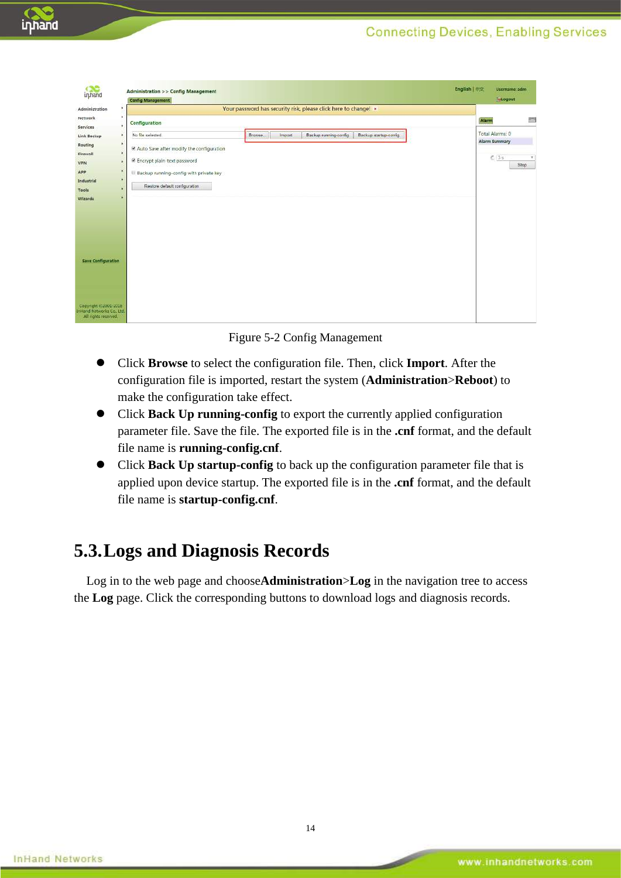

Figure 5-2 Config Management

- Click **Browse** to select the configuration file. Then, click **Import**. After the configuration file is imported, restart the system (**Administration**>**Reboot**) to make the configuration take effect.
- Click **Back Up running-config** to export the currently applied configuration parameter file. Save the file. The exported file is in the **.cnf** format, and the default file name is **running-config.cnf**.
- Click **Back Up startup-config** to back up the configuration parameter file that is applied upon device startup. The exported file is in the **.cnf** format, and the default file name is **startup-config.cnf**.

#### <span id="page-15-0"></span>**5.3.Logs and Diagnosis Records**

Log in to the web page and choose**Administration**>**Log** in the navigation tree to access the **Log** page. Click the corresponding buttons to download logs and diagnosis records.

inhand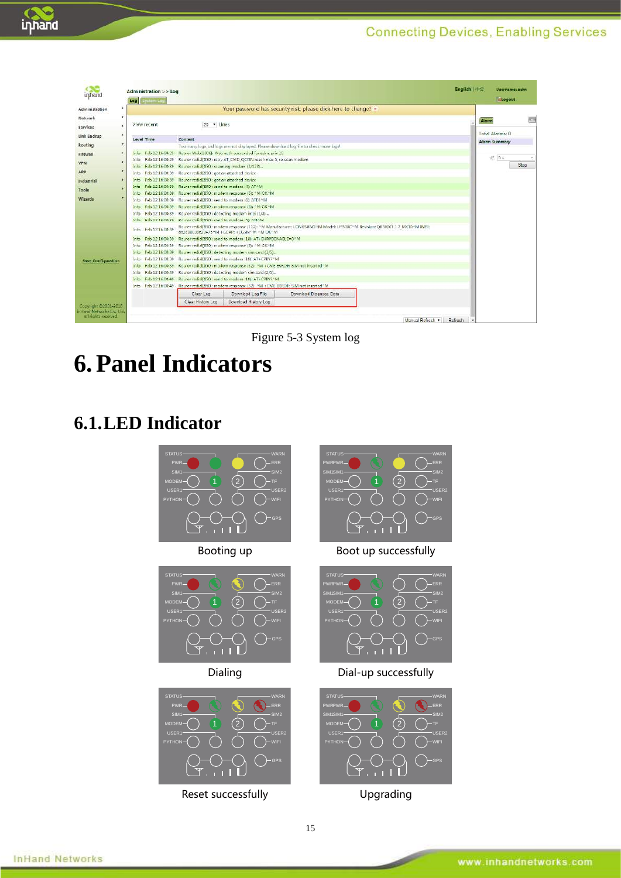ERR WARN

TF WIFI USER2

GPS

ERR WARN

TF SIM2

WIFI USER2

GPS

ERR WARN

TF SIM2

WIFI USER2

GPS



| ın hanc                                                                   |           | Log         | Administration >> Log<br><b>System Loc</b> |                                                                                                                                 |                                                                                             |                                                                                                                          |                | English   中文 | Username: adm.<br>Logout |
|---------------------------------------------------------------------------|-----------|-------------|--------------------------------------------|---------------------------------------------------------------------------------------------------------------------------------|---------------------------------------------------------------------------------------------|--------------------------------------------------------------------------------------------------------------------------|----------------|--------------|--------------------------|
| Administration                                                            | ×.        |             |                                            |                                                                                                                                 |                                                                                             | Your password has security risk, please click here to change! *                                                          |                |              |                          |
| Network                                                                   |           |             |                                            |                                                                                                                                 |                                                                                             |                                                                                                                          |                |              |                          |
| Services                                                                  | $\lambda$ |             | View recent                                | 20 · Lines                                                                                                                      |                                                                                             |                                                                                                                          |                | Alarm        |                          |
| Link Backup                                                               | ٠         | Level Time  |                                            | Content                                                                                                                         |                                                                                             |                                                                                                                          |                |              | Total Alarms: 0          |
| Routing                                                                   | $\bullet$ |             |                                            |                                                                                                                                 |                                                                                             | Too many logs, old logs are not displayed. Please download log file to check more logs!                                  |                |              | <b>Alarm Summary</b>     |
| Firewall                                                                  |           |             |                                            |                                                                                                                                 | Info Feb 12 16:00:25 Router Web[1006]: Web auth succeeded for adm. priv 15                  |                                                                                                                          |                |              |                          |
|                                                                           |           |             |                                            |                                                                                                                                 | Info Feb 12 16:00:29 Router redial(830): retry AT CMD QCPIN reach max 5, re-scan modem      |                                                                                                                          |                |              | € 3≤                     |
| VPN                                                                       |           |             |                                            | Info Feb 12 16:00:39 Router redial(850): scanning modem (2/120)                                                                 |                                                                                             |                                                                                                                          |                |              | Stop                     |
| APP                                                                       |           |             |                                            | info Feb 12 16:00:39 Router redial(850): got an attached device                                                                 |                                                                                             |                                                                                                                          |                |              |                          |
| Industrial                                                                | ٠         | Info        | Feb 12 16:00:39                            | Router redial(850): got an attached device                                                                                      |                                                                                             |                                                                                                                          |                |              |                          |
| Tools                                                                     |           |             |                                            | Info Feb 12 16:00:39 Router redial(850): send to modem (4): ATAM                                                                |                                                                                             |                                                                                                                          |                |              |                          |
| Wizards                                                                   |           |             |                                            |                                                                                                                                 | Info Feb 12 16:00:39 Router redial[850]: modern response (6): ^M OK^M                       |                                                                                                                          |                |              |                          |
|                                                                           |           |             |                                            | Info Feb 32.16:00:39 Router redial(850): send to modern (6): ATED M                                                             |                                                                                             |                                                                                                                          |                |              |                          |
|                                                                           |           | Info        |                                            |                                                                                                                                 | Feb 32 16:00:39 Router redial(850); modern response (6): ^M OK^M                            |                                                                                                                          |                |              |                          |
|                                                                           |           | Intes       |                                            | Feb 12 16:00:39 Router redial(850): detecting modern imei (1/3)<br>Feb 12 16:00:39 Router redial(850): send to modem (5): ATI^M |                                                                                             |                                                                                                                          |                |              |                          |
|                                                                           |           | terfo.      |                                            |                                                                                                                                 |                                                                                             |                                                                                                                          |                |              |                          |
|                                                                           |           | <b>Info</b> | Feb 12 16:00:39                            |                                                                                                                                 | 862808038629476^M +GCAP: +CGSM^M ^M OK^M                                                    | Router redial(850): modem response (112): ^M Manufacturer: LONGSUNG^M Model: U9300C^M Revision: QB30001.1.7 MX10^M IMEI: |                |              |                          |
|                                                                           |           | Info        |                                            |                                                                                                                                 | Feb 12 16:00:39 Router redial (850); send to modern (18); AT+EHRPDENABLE=0^M                |                                                                                                                          |                |              |                          |
|                                                                           |           | <b>Info</b> |                                            |                                                                                                                                 | Feb 12 16:00:39 Router redial(850): modern response (6): ^M OK^M                            |                                                                                                                          |                |              |                          |
|                                                                           |           | Info        |                                            |                                                                                                                                 | Feb. 12 16:00:39 Router redial(850): detecting modern sim card (1/5)                        |                                                                                                                          |                |              |                          |
| <b>Save Configuration</b>                                                 |           | Info        |                                            |                                                                                                                                 | Feb 12 16:00:39 Router redial(850): send to modern (10): AT+CPIN?^M                         |                                                                                                                          |                |              |                          |
|                                                                           |           | <b>Info</b> |                                            |                                                                                                                                 | Feb 12 16:00:39 Router redial(850): modem response (32): ^M +CME ERROR: SIM not inserted^M  |                                                                                                                          |                |              |                          |
|                                                                           |           | Into:       |                                            |                                                                                                                                 | Fab 12 16:00:49 Router redial(850): datacting modern sim card (2/5)                         |                                                                                                                          |                |              |                          |
|                                                                           |           | Info:       |                                            |                                                                                                                                 | Feb 12 16:00:49 Router redial(850): send to modem (10): AT+CPIN? NM                         |                                                                                                                          |                |              |                          |
|                                                                           |           | <b>Info</b> |                                            |                                                                                                                                 | Feb 12 16:00:49 Router redial(850): modern response (32): ^M +CME ERROR: SIM not inserted^M |                                                                                                                          |                |              |                          |
|                                                                           |           |             |                                            | Clear Log                                                                                                                       | Download Log File                                                                           | Download Diagnose Data                                                                                                   |                |              |                          |
|                                                                           |           |             |                                            | Clear History Log                                                                                                               | Download History Log                                                                        |                                                                                                                          |                |              |                          |
| Copyright 02001-2018<br>inhand Networks Co., Ltd.<br>All rights reserved. |           |             |                                            |                                                                                                                                 |                                                                                             |                                                                                                                          | Manual Refresh | Refresh      |                          |

Figure 5-3 System log

# <span id="page-16-1"></span><span id="page-16-0"></span>**6.Panel Indicators**

## **6.1.LED Indicator**



15

**InHand Networks**